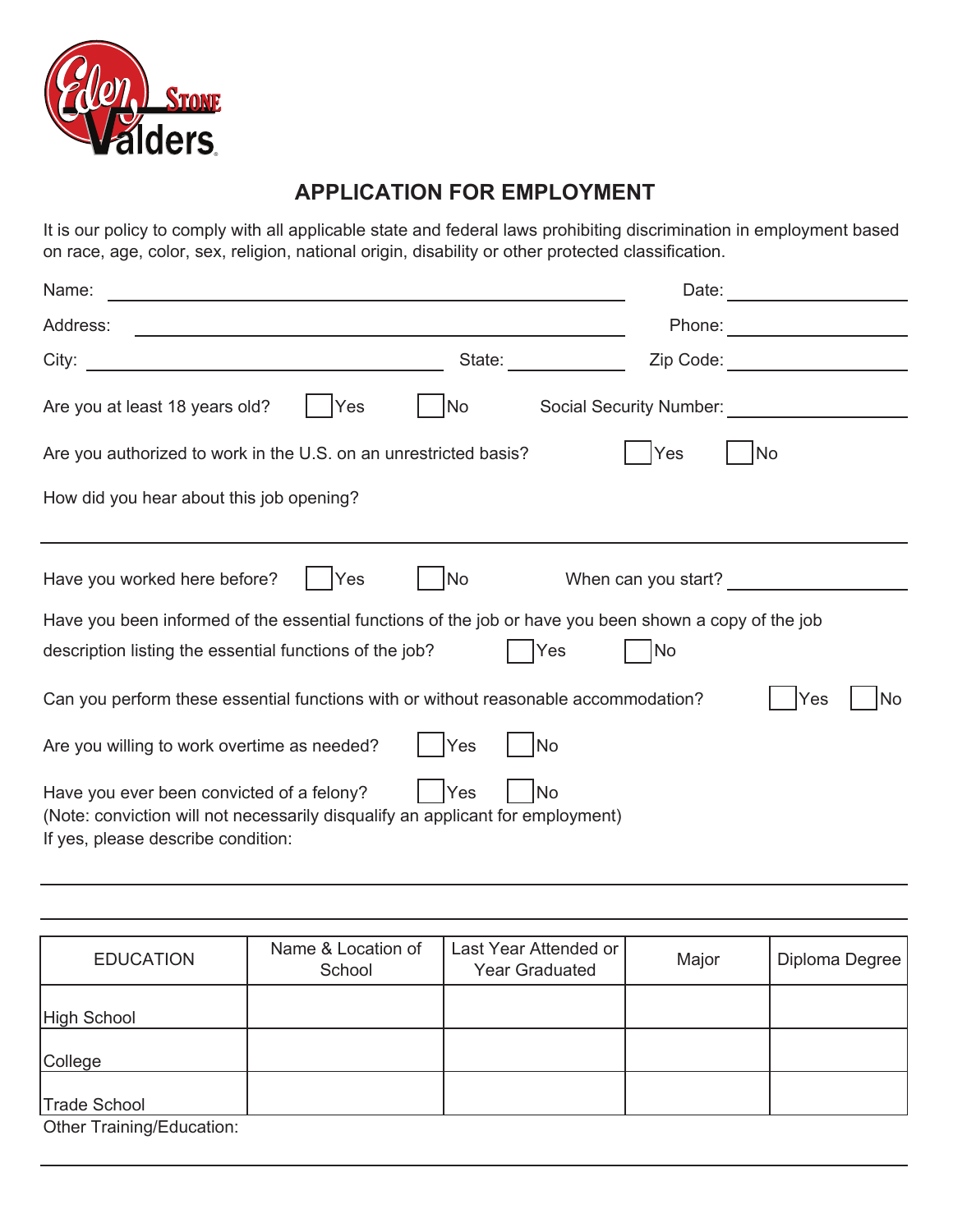

## **APPLICATION FOR EMPLOYMENT**

It is our policy to comply with all applicable state and federal laws prohibiting discrimination in employment based on race, age, color, sex, religion, national origin, disability or other protected classification.

| Name:                                                                                                                                                                          |           | Date:                   |  |  |
|--------------------------------------------------------------------------------------------------------------------------------------------------------------------------------|-----------|-------------------------|--|--|
| Address:                                                                                                                                                                       |           | Phone:                  |  |  |
| City:                                                                                                                                                                          | State:    | Zip Code:               |  |  |
| Are you at least 18 years old?<br>Yes                                                                                                                                          | No        | Social Security Number: |  |  |
| Are you authorized to work in the U.S. on an unrestricted basis?                                                                                                               |           | No<br>Yes               |  |  |
| How did you hear about this job opening?                                                                                                                                       |           |                         |  |  |
|                                                                                                                                                                                |           |                         |  |  |
| Have you worked here before?<br>Yes                                                                                                                                            | No        | When can you start?     |  |  |
| Have you been informed of the essential functions of the job or have you been shown a copy of the job                                                                          |           |                         |  |  |
| description listing the essential functions of the job?                                                                                                                        | Yes       | <b>No</b>               |  |  |
| Can you perform these essential functions with or without reasonable accommodation?<br>Yes<br>No.                                                                              |           |                         |  |  |
| Are you willing to work overtime as needed?                                                                                                                                    | Yes<br>No |                         |  |  |
| Have you ever been convicted of a felony?<br>Yes<br>No<br>(Note: conviction will not necessarily disqualify an applicant for employment)<br>If yes, please describe condition: |           |                         |  |  |

| <b>EDUCATION</b>          | Name & Location of<br>School | Last Year Attended or<br><b>Year Graduated</b> | Major | Diploma Degree |
|---------------------------|------------------------------|------------------------------------------------|-------|----------------|
| High School               |                              |                                                |       |                |
| College                   |                              |                                                |       |                |
| <b>Trade School</b>       |                              |                                                |       |                |
| Othor Training/Education: |                              |                                                |       |                |

Other Training/Education: